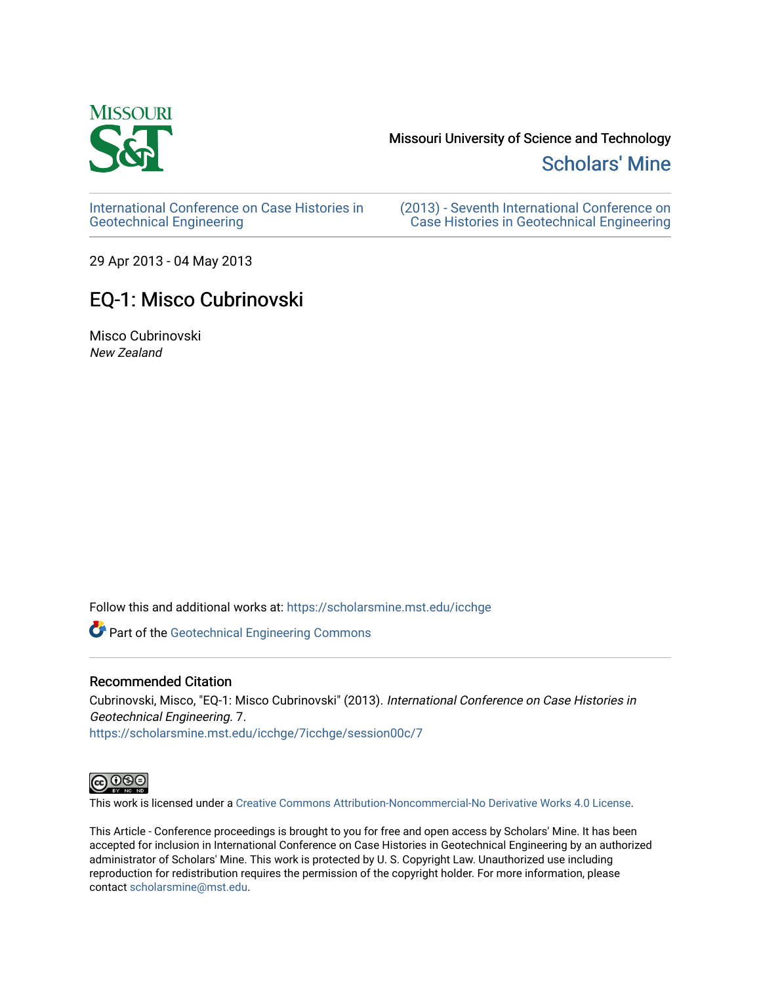

## Missouri University of Science and Technology

[Scholars' Mine](https://scholarsmine.mst.edu/) 

[International Conference on Case Histories in](https://scholarsmine.mst.edu/icchge)  [Geotechnical Engineering](https://scholarsmine.mst.edu/icchge)

[\(2013\) - Seventh International Conference on](https://scholarsmine.mst.edu/icchge/7icchge)  [Case Histories in Geotechnical Engineering](https://scholarsmine.mst.edu/icchge/7icchge) 

29 Apr 2013 - 04 May 2013

## EQ-1: Misco Cubrinovski

Misco Cubrinovski New Zealand

Follow this and additional works at: [https://scholarsmine.mst.edu/icchge](https://scholarsmine.mst.edu/icchge?utm_source=scholarsmine.mst.edu%2Ficchge%2F7icchge%2Fsession00c%2F7&utm_medium=PDF&utm_campaign=PDFCoverPages) 

Part of the [Geotechnical Engineering Commons](http://network.bepress.com/hgg/discipline/255?utm_source=scholarsmine.mst.edu%2Ficchge%2F7icchge%2Fsession00c%2F7&utm_medium=PDF&utm_campaign=PDFCoverPages) 

## Recommended Citation

Cubrinovski, Misco, "EQ-1: Misco Cubrinovski" (2013). International Conference on Case Histories in Geotechnical Engineering. 7. [https://scholarsmine.mst.edu/icchge/7icchge/session00c/7](https://scholarsmine.mst.edu/icchge/7icchge/session00c/7?utm_source=scholarsmine.mst.edu%2Ficchge%2F7icchge%2Fsession00c%2F7&utm_medium=PDF&utm_campaign=PDFCoverPages) 



This work is licensed under a [Creative Commons Attribution-Noncommercial-No Derivative Works 4.0 License.](https://creativecommons.org/licenses/by-nc-nd/4.0/)

This Article - Conference proceedings is brought to you for free and open access by Scholars' Mine. It has been accepted for inclusion in International Conference on Case Histories in Geotechnical Engineering by an authorized administrator of Scholars' Mine. This work is protected by U. S. Copyright Law. Unauthorized use including reproduction for redistribution requires the permission of the copyright holder. For more information, please contact [scholarsmine@mst.edu](mailto:scholarsmine@mst.edu).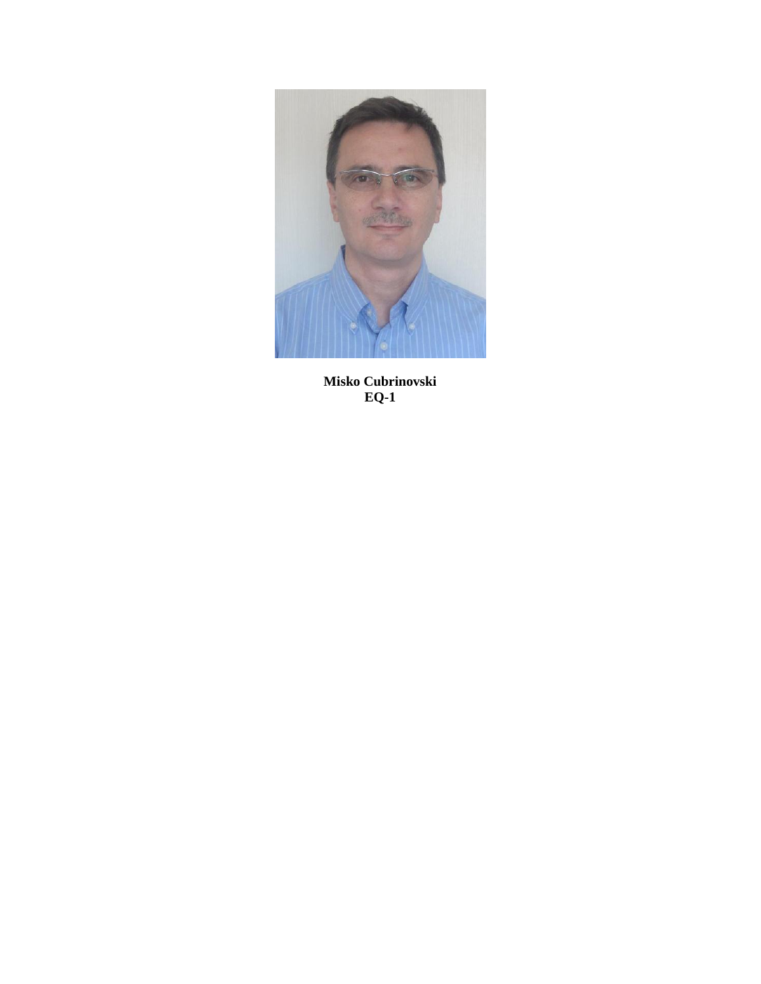

**Misko Cubrinovski EQ-1**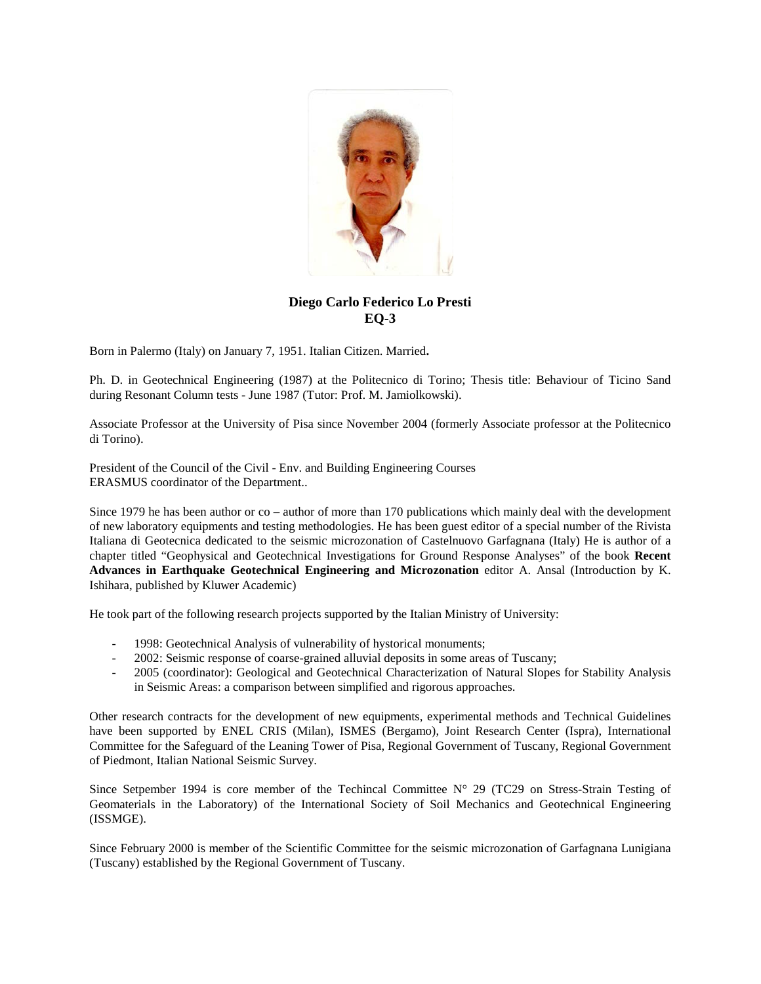

## **Diego Carlo Federico Lo Presti EQ-3**

Born in Palermo (Italy) on January 7, 1951. Italian Citizen. Married**.**

Ph. D. in Geotechnical Engineering (1987) at the Politecnico di Torino; Thesis title: Behaviour of Ticino Sand during Resonant Column tests - June 1987 (Tutor: Prof. M. Jamiolkowski).

Associate Professor at the University of Pisa since November 2004 (formerly Associate professor at the Politecnico di Torino).

President of the Council of the Civil - Env. and Building Engineering Courses ERASMUS coordinator of the Department..

Since 1979 he has been author or co – author of more than 170 publications which mainly deal with the development of new laboratory equipments and testing methodologies. He has been guest editor of a special number of the Rivista Italiana di Geotecnica dedicated to the seismic microzonation of Castelnuovo Garfagnana (Italy) He is author of a chapter titled "Geophysical and Geotechnical Investigations for Ground Response Analyses" of the book **Recent Advances in Earthquake Geotechnical Engineering and Microzonation** editor A. Ansal (Introduction by K. Ishihara, published by Kluwer Academic)

He took part of the following research projects supported by the Italian Ministry of University:

- 1998: Geotechnical Analysis of vulnerability of hystorical monuments;
- 2002: Seismic response of coarse-grained alluvial deposits in some areas of Tuscany;
- 2005 (coordinator): Geological and Geotechnical Characterization of Natural Slopes for Stability Analysis in Seismic Areas: a comparison between simplified and rigorous approaches.

Other research contracts for the development of new equipments, experimental methods and Technical Guidelines have been supported by ENEL CRIS (Milan), ISMES (Bergamo), Joint Research Center (Ispra), International Committee for the Safeguard of the Leaning Tower of Pisa, Regional Government of Tuscany, Regional Government of Piedmont, Italian National Seismic Survey.

Since Setpember 1994 is core member of the Techincal Committee  $N^{\circ}$  29 (TC29 on Stress-Strain Testing of Geomaterials in the Laboratory) of the International Society of Soil Mechanics and Geotechnical Engineering (ISSMGE).

Since February 2000 is member of the Scientific Committee for the seismic microzonation of Garfagnana Lunigiana (Tuscany) established by the Regional Government of Tuscany.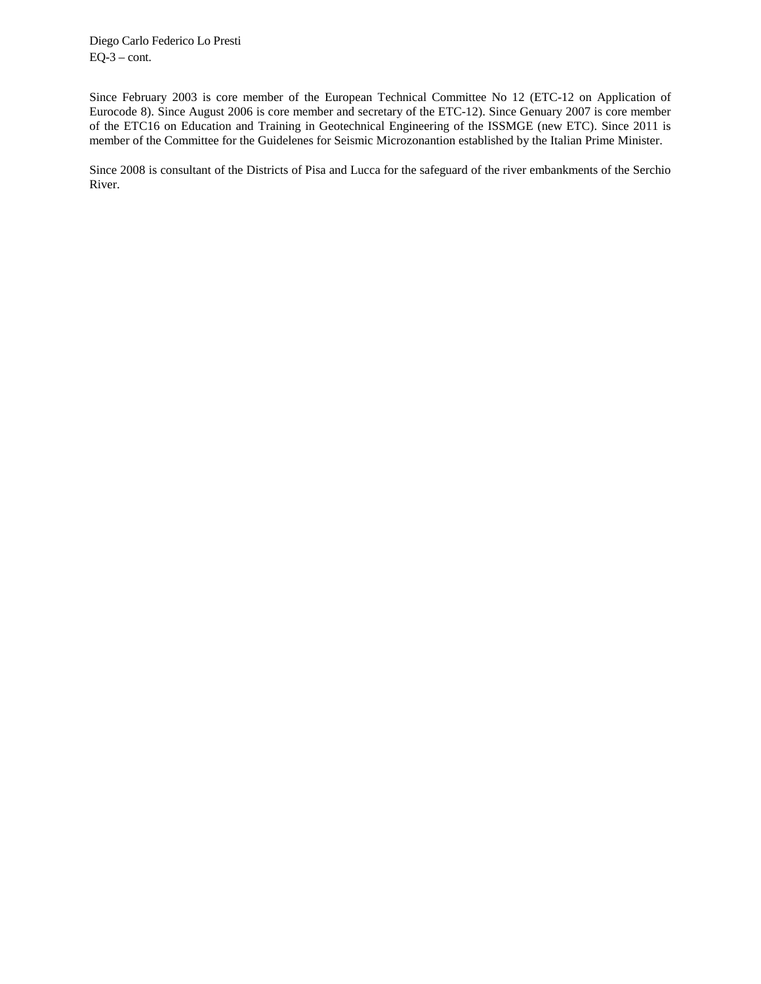Diego Carlo Federico Lo Presti  $EQ-3 - cont.$ 

Since February 2003 is core member of the European Technical Committee No 12 (ETC-12 on Application of Eurocode 8). Since August 2006 is core member and secretary of the ETC-12). Since Genuary 2007 is core member of the ETC16 on Education and Training in Geotechnical Engineering of the ISSMGE (new ETC). Since 2011 is member of the Committee for the Guidelenes for Seismic Microzonantion established by the Italian Prime Minister.

Since 2008 is consultant of the Districts of Pisa and Lucca for the safeguard of the river embankments of the Serchio River.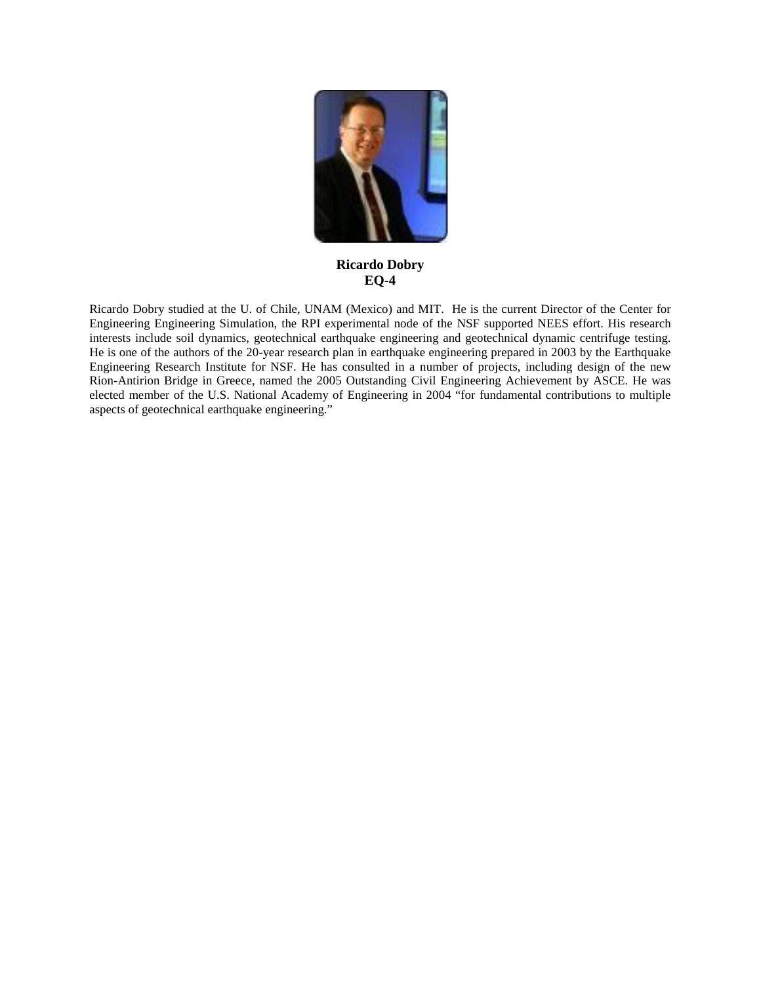

**Ricardo Dobry EQ-4**

Ricardo Dobry studied at the U. of Chile, UNAM (Mexico) and MIT. He is the current Director of the Center for Engineering Engineering Simulation, the RPI experimental node of the NSF supported NEES effort. His research interests include soil dynamics, geotechnical earthquake engineering and geotechnical dynamic centrifuge testing. He is one of the authors of the 20-year research plan in earthquake engineering prepared in 2003 by the Earthquake Engineering Research Institute for NSF. He has consulted in a number of projects, including design of the new Rion-Antirion Bridge in Greece, named the 2005 Outstanding Civil Engineering Achievement by ASCE. He was elected member of the U.S. National Academy of Engineering in 2004 "for fundamental contributions to multiple aspects of geotechnical earthquake engineering."